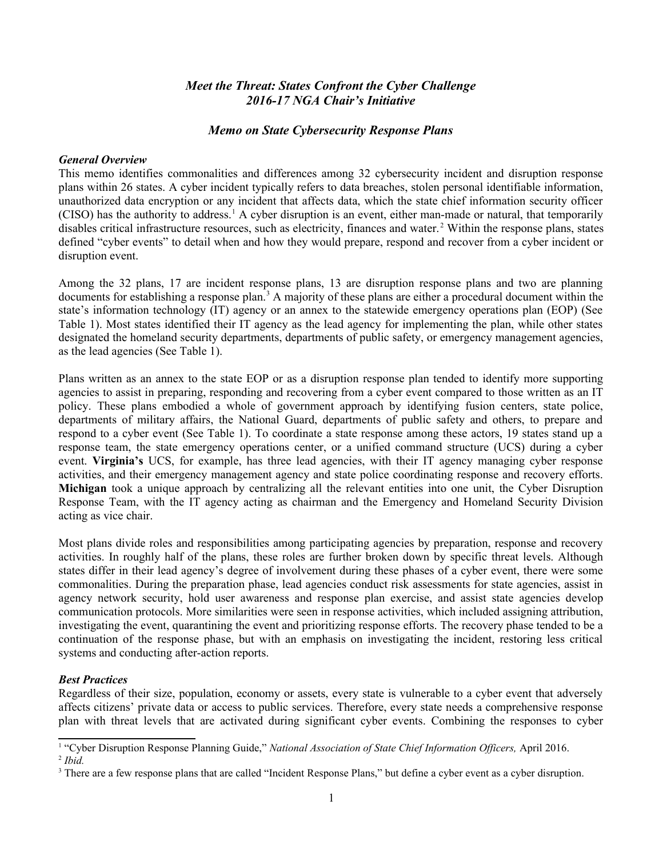# *Meet the Threat: States Confront the Cyber Challenge 2016-17 NGA Chair's Initiative*

#### *Memo on State Cybersecurity Response Plans*

#### *General Overview*

This memo identifies commonalities and differences among 32 cybersecurity incident and disruption response plans within 26 states. A cyber incident typically refers to data breaches, stolen personal identifiable information, unauthorized data encryption or any incident that affects data, which the state chief information security officer (CISO) has the authority to address.<sup>[1](#page-0-0)</sup> A cyber disruption is an event, either man-made or natural, that temporarily disables critical infrastructure resources, such as electricity, finances and water.<sup>[2](#page-0-1)</sup> Within the response plans, states defined "cyber events" to detail when and how they would prepare, respond and recover from a cyber incident or disruption event.

Among the 32 plans, 17 are incident response plans, 13 are disruption response plans and two are planning documents for establishing a response plan.<sup>[3](#page-0-2)</sup> A majority of these plans are either a procedural document within the state's information technology (IT) agency or an annex to the statewide emergency operations plan (EOP) (See Table 1). Most states identified their IT agency as the lead agency for implementing the plan, while other states designated the homeland security departments, departments of public safety, or emergency management agencies, as the lead agencies (See Table 1).

Plans written as an annex to the state EOP or as a disruption response plan tended to identify more supporting agencies to assist in preparing, responding and recovering from a cyber event compared to those written as an IT policy. These plans embodied a whole of government approach by identifying fusion centers, state police, departments of military affairs, the National Guard, departments of public safety and others, to prepare and respond to a cyber event (See Table 1). To coordinate a state response among these actors, 19 states stand up a response team, the state emergency operations center, or a unified command structure (UCS) during a cyber event. **Virginia's** UCS, for example, has three lead agencies, with their IT agency managing cyber response activities, and their emergency management agency and state police coordinating response and recovery efforts. **Michigan** took a unique approach by centralizing all the relevant entities into one unit, the Cyber Disruption Response Team, with the IT agency acting as chairman and the Emergency and Homeland Security Division acting as vice chair.

Most plans divide roles and responsibilities among participating agencies by preparation, response and recovery activities. In roughly half of the plans, these roles are further broken down by specific threat levels. Although states differ in their lead agency's degree of involvement during these phases of a cyber event, there were some commonalities. During the preparation phase, lead agencies conduct risk assessments for state agencies, assist in agency network security, hold user awareness and response plan exercise, and assist state agencies develop communication protocols. More similarities were seen in response activities, which included assigning attribution, investigating the event, quarantining the event and prioritizing response efforts. The recovery phase tended to be a continuation of the response phase, but with an emphasis on investigating the incident, restoring less critical systems and conducting after-action reports.

#### *Best Practices*

Regardless of their size, population, economy or assets, every state is vulnerable to a cyber event that adversely affects citizens' private data or access to public services. Therefore, every state needs a comprehensive response plan with threat levels that are activated during significant cyber events. Combining the responses to cyber

<span id="page-0-1"></span><span id="page-0-0"></span><sup>&</sup>lt;sup>1</sup> "Cyber Disruption Response Planning Guide," *National Association of State Chief Information Officers*, April 2016. 2 *Ibid.*

<span id="page-0-2"></span><sup>&</sup>lt;sup>3</sup> There are a few response plans that are called "Incident Response Plans," but define a cyber event as a cyber disruption.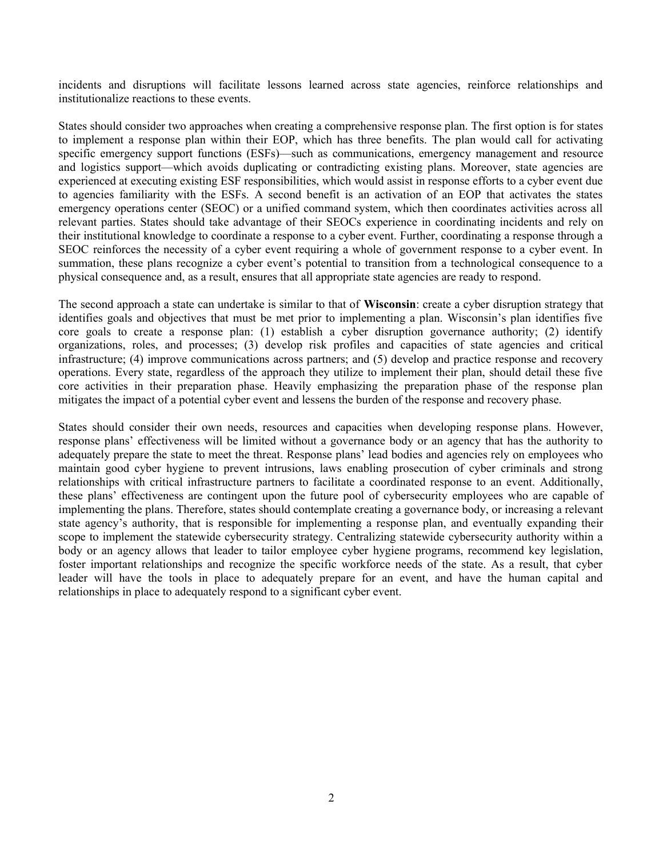incidents and disruptions will facilitate lessons learned across state agencies, reinforce relationships and institutionalize reactions to these events.

States should consider two approaches when creating a comprehensive response plan. The first option is for states to implement a response plan within their EOP, which has three benefits. The plan would call for activating specific emergency support functions (ESFs)—such as communications, emergency management and resource and logistics support—which avoids duplicating or contradicting existing plans. Moreover, state agencies are experienced at executing existing ESF responsibilities, which would assist in response efforts to a cyber event due to agencies familiarity with the ESFs. A second benefit is an activation of an EOP that activates the states emergency operations center (SEOC) or a unified command system, which then coordinates activities across all relevant parties. States should take advantage of their SEOCs experience in coordinating incidents and rely on their institutional knowledge to coordinate a response to a cyber event. Further, coordinating a response through a SEOC reinforces the necessity of a cyber event requiring a whole of government response to a cyber event. In summation, these plans recognize a cyber event's potential to transition from a technological consequence to a physical consequence and, as a result, ensures that all appropriate state agencies are ready to respond.

The second approach a state can undertake is similar to that of **Wisconsin**: create a cyber disruption strategy that identifies goals and objectives that must be met prior to implementing a plan. Wisconsin's plan identifies five core goals to create a response plan: (1) establish a cyber disruption governance authority; (2) identify organizations, roles, and processes; (3) develop risk profiles and capacities of state agencies and critical infrastructure; (4) improve communications across partners; and (5) develop and practice response and recovery operations. Every state, regardless of the approach they utilize to implement their plan, should detail these five core activities in their preparation phase. Heavily emphasizing the preparation phase of the response plan mitigates the impact of a potential cyber event and lessens the burden of the response and recovery phase.

States should consider their own needs, resources and capacities when developing response plans. However, response plans' effectiveness will be limited without a governance body or an agency that has the authority to adequately prepare the state to meet the threat. Response plans' lead bodies and agencies rely on employees who maintain good cyber hygiene to prevent intrusions, laws enabling prosecution of cyber criminals and strong relationships with critical infrastructure partners to facilitate a coordinated response to an event. Additionally, these plans' effectiveness are contingent upon the future pool of cybersecurity employees who are capable of implementing the plans. Therefore, states should contemplate creating a governance body, or increasing a relevant state agency's authority, that is responsible for implementing a response plan, and eventually expanding their scope to implement the statewide cybersecurity strategy. Centralizing statewide cybersecurity authority within a body or an agency allows that leader to tailor employee cyber hygiene programs, recommend key legislation, foster important relationships and recognize the specific workforce needs of the state. As a result, that cyber leader will have the tools in place to adequately prepare for an event, and have the human capital and relationships in place to adequately respond to a significant cyber event.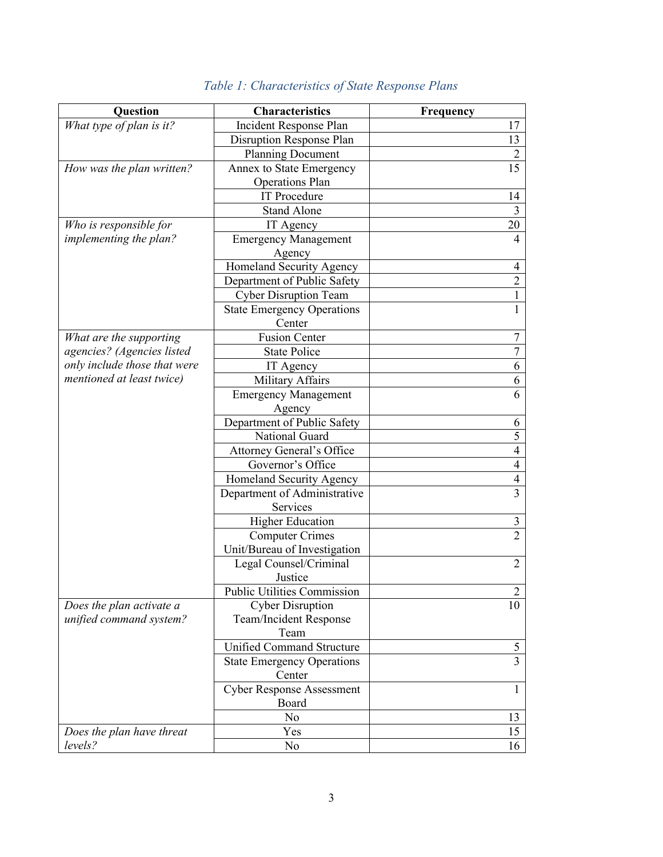| Question                     | <b>Characteristics</b>                   | Frequency      |
|------------------------------|------------------------------------------|----------------|
| What type of plan is it?     | Incident Response Plan                   | 17             |
|                              | Disruption Response Plan                 | 13             |
|                              | <b>Planning Document</b>                 | $\overline{2}$ |
| How was the plan written?    | Annex to State Emergency                 | 15             |
|                              | Operations Plan                          |                |
|                              | <b>IT Procedure</b>                      | 14             |
|                              | <b>Stand Alone</b>                       | $\overline{3}$ |
| Who is responsible for       | IT Agency                                | 20             |
| implementing the plan?       | <b>Emergency Management</b>              | 4              |
|                              | Agency                                   |                |
|                              | Homeland Security Agency                 | 4              |
|                              | Department of Public Safety              | $\overline{2}$ |
|                              | <b>Cyber Disruption Team</b>             | 1              |
|                              | <b>State Emergency Operations</b>        |                |
|                              | Center                                   |                |
| What are the supporting      | <b>Fusion Center</b>                     | 7              |
| agencies? (Agencies listed   | <b>State Police</b>                      | $\overline{7}$ |
| only include those that were | IT Agency                                | 6              |
| mentioned at least twice)    | Military Affairs                         | 6              |
|                              | <b>Emergency Management</b>              | 6              |
|                              | Agency                                   |                |
|                              | Department of Public Safety              | 6              |
|                              | National Guard                           | 5              |
|                              | Attorney General's Office                | 4              |
|                              | Governor's Office                        | 4              |
|                              | Homeland Security Agency                 | $\overline{4}$ |
|                              | Department of Administrative<br>Services | $\overline{3}$ |
|                              | <b>Higher Education</b>                  | 3              |
|                              | <b>Computer Crimes</b>                   | $\overline{2}$ |
|                              | Unit/Bureau of Investigation             |                |
|                              | Legal Counsel/Criminal                   | $\overline{2}$ |
|                              | Justice                                  |                |
|                              | <b>Public Utilities Commission</b>       | 2              |
| Does the plan activate a     | <b>Cyber Disruption</b>                  | 10             |
| unified command system?      | Team/Incident Response                   |                |
|                              | Team                                     |                |
|                              | Unified Command Structure                | 5              |
|                              | <b>State Emergency Operations</b>        | $\overline{3}$ |
|                              | Center                                   |                |
|                              | <b>Cyber Response Assessment</b>         | 1              |
|                              | Board                                    |                |
|                              | N <sub>0</sub>                           | 13             |
| Does the plan have threat    | Yes                                      | 15             |
| levels?                      | N <sub>0</sub>                           | 16             |

# *Table 1: Characteristics of State Response Plans*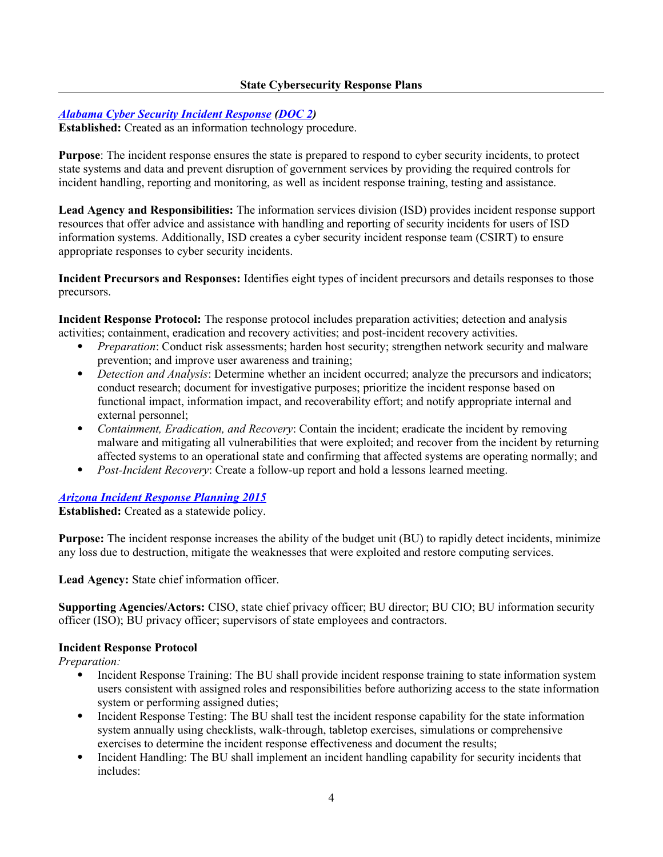#### **State Cybersecurity Response Plans**

### *[Alabama Cyber Security Incident Response](http://cybersecurity.alabama.gov/documents/Procedure_604P2_Incident_Handling.pdf) [\(DOC 2\)](http://cybersecurity.alabama.gov/documents/Policy_604_Incident_Response.pdf)*

**Established:** Created as an information technology procedure.

**Purpose**: The incident response ensures the state is prepared to respond to cyber security incidents, to protect state systems and data and prevent disruption of government services by providing the required controls for incident handling, reporting and monitoring, as well as incident response training, testing and assistance.

**Lead Agency and Responsibilities:** The information services division (ISD) provides incident response support resources that offer advice and assistance with handling and reporting of security incidents for users of ISD information systems. Additionally, ISD creates a cyber security incident response team (CSIRT) to ensure appropriate responses to cyber security incidents.

**Incident Precursors and Responses:** Identifies eight types of incident precursors and details responses to those precursors.

**Incident Response Protocol:** The response protocol includes preparation activities; detection and analysis activities; containment, eradication and recovery activities; and post-incident recovery activities.

- *Preparation*: Conduct risk assessments; harden host security; strengthen network security and malware prevention; and improve user awareness and training;
- *Detection and Analysis*: Determine whether an incident occurred; analyze the precursors and indicators; conduct research; document for investigative purposes; prioritize the incident response based on functional impact, information impact, and recoverability effort; and notify appropriate internal and external personnel;
- *Containment, Eradication, and Recovery*: Contain the incident; eradicate the incident by removing malware and mitigating all vulnerabilities that were exploited; and recover from the incident by returning affected systems to an operational state and confirming that affected systems are operating normally; and
- *Post-Incident Recovery*: Create a follow-up report and hold a lessons learned meeting.

*[Arizona Incident Response Planning 2015](https://aset.az.gov/sites/default/files/STATEWIDE%20POLICY%20P8240%20Incident%20Response%20Planning.pdf)*

**Established:** Created as a statewide policy.

**Purpose:** The incident response increases the ability of the budget unit (BU) to rapidly detect incidents, minimize any loss due to destruction, mitigate the weaknesses that were exploited and restore computing services.

Lead Agency: State chief information officer.

**Supporting Agencies/Actors:** CISO, state chief privacy officer; BU director; BU CIO; BU information security officer (ISO); BU privacy officer; supervisors of state employees and contractors.

#### **Incident Response Protocol**

*Preparation:*

- Incident Response Training: The BU shall provide incident response training to state information system users consistent with assigned roles and responsibilities before authorizing access to the state information system or performing assigned duties;
- Incident Response Testing: The BU shall test the incident response capability for the state information system annually using checklists, walk-through, tabletop exercises, simulations or comprehensive exercises to determine the incident response effectiveness and document the results;
- Incident Handling: The BU shall implement an incident handling capability for security incidents that includes: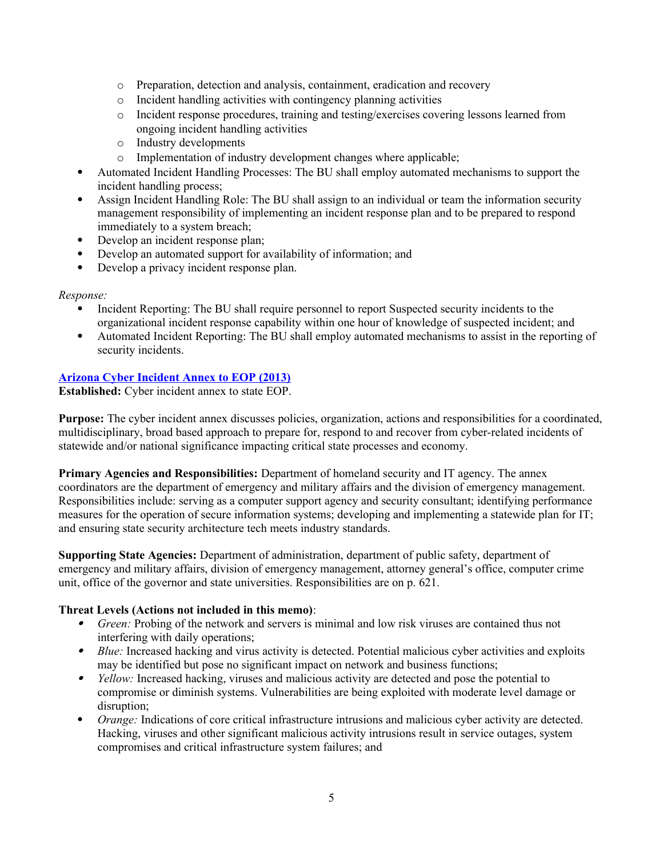- o Preparation, detection and analysis, containment, eradication and recovery
- o Incident handling activities with contingency planning activities
- o Incident response procedures, training and testing/exercises covering lessons learned from ongoing incident handling activities
- o Industry developments
- o Implementation of industry development changes where applicable;
- Automated Incident Handling Processes: The BU shall employ automated mechanisms to support the incident handling process;
- Assign Incident Handling Role: The BU shall assign to an individual or team the information security management responsibility of implementing an incident response plan and to be prepared to respond immediately to a system breach;
- Develop an incident response plan;
- Develop an automated support for availability of information; and
- Develop a privacy incident response plan.

### *Response:*

- Incident Reporting: The BU shall require personnel to report Suspected security incidents to the organizational incident response capability within one hour of knowledge of suspected incident; and
- Automated Incident Reporting: The BU shall employ automated mechanisms to assist in the reporting of security incidents.

### **[Arizona Cyber Incident Annex to EOP](https://dema.az.gov/sites/default/files/EM-PLN_State%20Emergency%20Response%20and%20Recovery%20Plan-Basic%20Plan%20SERRP2012Final_1.pdf) (2013)**

**Established:** Cyber incident annex to state EOP.

**Purpose:** The cyber incident annex discusses policies, organization, actions and responsibilities for a coordinated, multidisciplinary, broad based approach to prepare for, respond to and recover from cyber-related incidents of statewide and/or national significance impacting critical state processes and economy.

**Primary Agencies and Responsibilities:** Department of homeland security and IT agency. The annex coordinators are the department of emergency and military affairs and the division of emergency management. Responsibilities include: serving as a computer support agency and security consultant; identifying performance measures for the operation of secure information systems; developing and implementing a statewide plan for IT; and ensuring state security architecture tech meets industry standards.

**Supporting State Agencies:** Department of administration, department of public safety, department of emergency and military affairs, division of emergency management, attorney general's office, computer crime unit, office of the governor and state universities. Responsibilities are on p. 621.

#### **Threat Levels (Actions not included in this memo)**:

- *Green:* Probing of the network and servers is minimal and low risk viruses are contained thus not interfering with daily operations;
- *Blue:* Increased hacking and virus activity is detected. Potential malicious cyber activities and exploits may be identified but pose no significant impact on network and business functions;
- *Yellow:* Increased hacking, viruses and malicious activity are detected and pose the potential to compromise or diminish systems. Vulnerabilities are being exploited with moderate level damage or disruption;
- *Orange:* Indications of core critical infrastructure intrusions and malicious cyber activity are detected. Hacking, viruses and other significant malicious activity intrusions result in service outages, system compromises and critical infrastructure system failures; and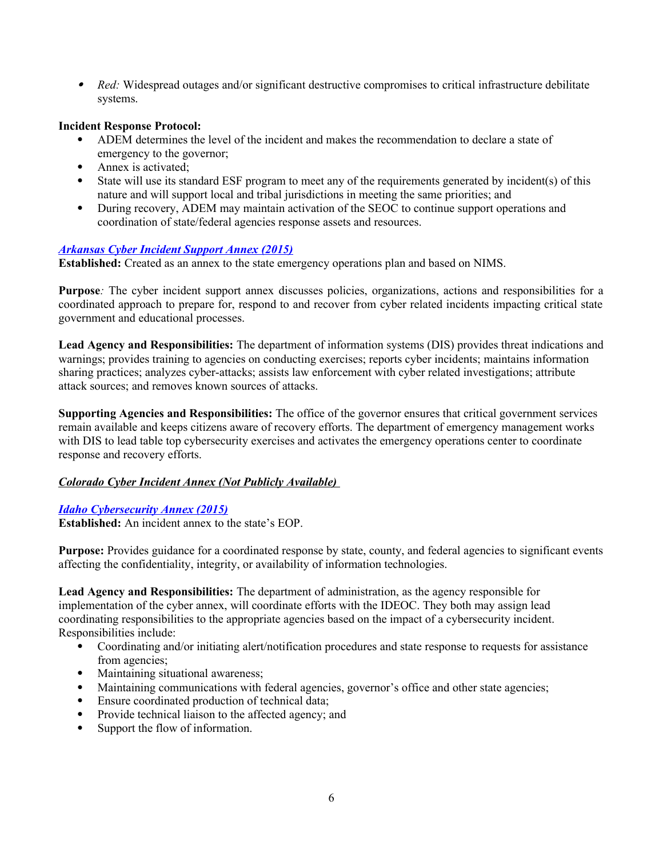*Red:* Widespread outages and/or significant destructive compromises to critical infrastructure debilitate systems.

#### **Incident Response Protocol:**

- ADEM determines the level of the incident and makes the recommendation to declare a state of emergency to the governor;
- Annex is activated;
- State will use its standard ESF program to meet any of the requirements generated by incident(s) of this nature and will support local and tribal jurisdictions in meeting the same priorities; and
- During recovery, ADEM may maintain activation of the SEOC to continue support operations and coordination of state/federal agencies response assets and resources.

#### *[Arkansas Cyber Incident Support Annex](http://www.adem.arkansas.gov/aem/wp-content/uploads/2015/01/2014-ARCEMP-Final.pdf) (2015)*

**Established:** Created as an annex to the state emergency operations plan and based on NIMS.

**Purpose***:* The cyber incident support annex discusses policies, organizations, actions and responsibilities for a coordinated approach to prepare for, respond to and recover from cyber related incidents impacting critical state government and educational processes.

**Lead Agency and Responsibilities:** The department of information systems (DIS) provides threat indications and warnings; provides training to agencies on conducting exercises; reports cyber incidents; maintains information sharing practices; analyzes cyber-attacks; assists law enforcement with cyber related investigations; attribute attack sources; and removes known sources of attacks.

**Supporting Agencies and Responsibilities:** The office of the governor ensures that critical government services remain available and keeps citizens aware of recovery efforts. The department of emergency management works with DIS to lead table top cybersecurity exercises and activates the emergency operations center to coordinate response and recovery efforts.

# *Colorado Cyber Incident Annex (Not Publicly Available)*

#### *[Idaho Cybersecurity Annex \(2015\)](https://ioem.idaho.gov/Pages/Plans/Documents/2015%20IDEOP.pdf)*

**Established:** An incident annex to the state's EOP.

**Purpose:** Provides guidance for a coordinated response by state, county, and federal agencies to significant events affecting the confidentiality, integrity, or availability of information technologies.

**Lead Agency and Responsibilities:** The department of administration, as the agency responsible for implementation of the cyber annex, will coordinate efforts with the IDEOC. They both may assign lead coordinating responsibilities to the appropriate agencies based on the impact of a cybersecurity incident. Responsibilities include:

- Coordinating and/or initiating alert/notification procedures and state response to requests for assistance from agencies;
- Maintaining situational awareness;
- Maintaining communications with federal agencies, governor's office and other state agencies;
- Ensure coordinated production of technical data;
- Provide technical liaison to the affected agency; and<br>• Support the flow of information
- Support the flow of information.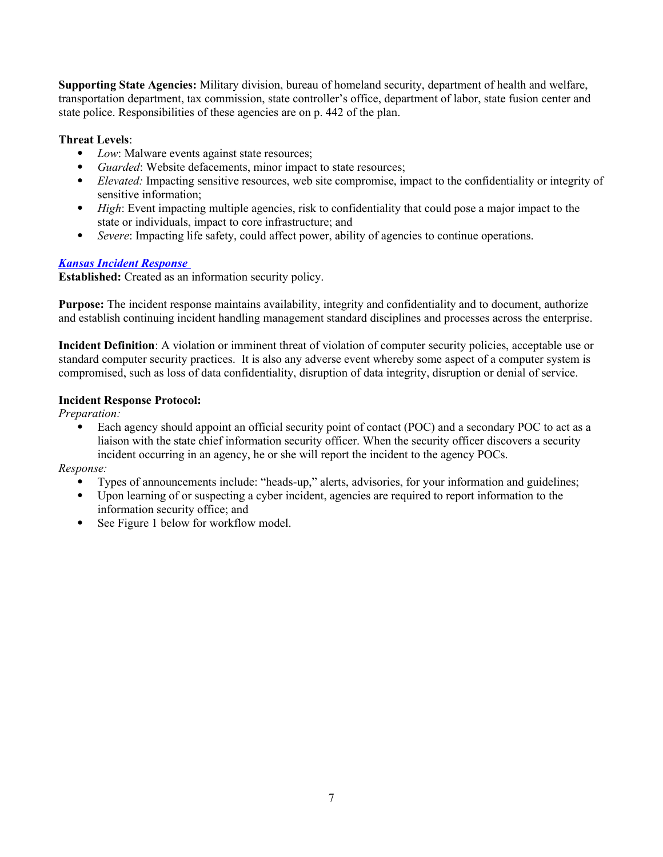**Supporting State Agencies:** Military division, bureau of homeland security, department of health and welfare, transportation department, tax commission, state controller's office, department of labor, state fusion center and state police. Responsibilities of these agencies are on p. 442 of the plan.

# **Threat Levels**:

- *Low*: Malware events against state resources;
- *Guarded*: Website defacements, minor impact to state resources;
- *Elevated:* Impacting sensitive resources, web site compromise, impact to the confidentiality or integrity of sensitive information;
- *High*: Event impacting multiple agencies, risk to confidentiality that could pose a major impact to the state or individuals, impact to core infrastructure; and
- *Severe*: Impacting life safety, could affect power, ability of agencies to continue operations.

# *[Kansas Incident Response](http://oits.ks.gov/info-security/incident-response)*

**Established:** Created as an information security policy.

**Purpose:** The incident response maintains availability, integrity and confidentiality and to document, authorize and establish continuing incident handling management standard disciplines and processes across the enterprise.

**Incident Definition**: A violation or imminent threat of violation of computer security policies, acceptable use or standard computer security practices. It is also any adverse event whereby some aspect of a computer system is compromised, such as loss of data confidentiality, disruption of data integrity, disruption or denial of service.

### **Incident Response Protocol:**

*Preparation:*

 Each agency should appoint an official security point of contact (POC) and a secondary POC to act as a liaison with the state chief information security officer. When the security officer discovers a security incident occurring in an agency, he or she will report the incident to the agency POCs.

*Response:*

- Types of announcements include: "heads-up," alerts, advisories, for your information and guidelines;
- Upon learning of or suspecting a cyber incident, agencies are required to report information to the information security office; and
- See Figure 1 below for workflow model.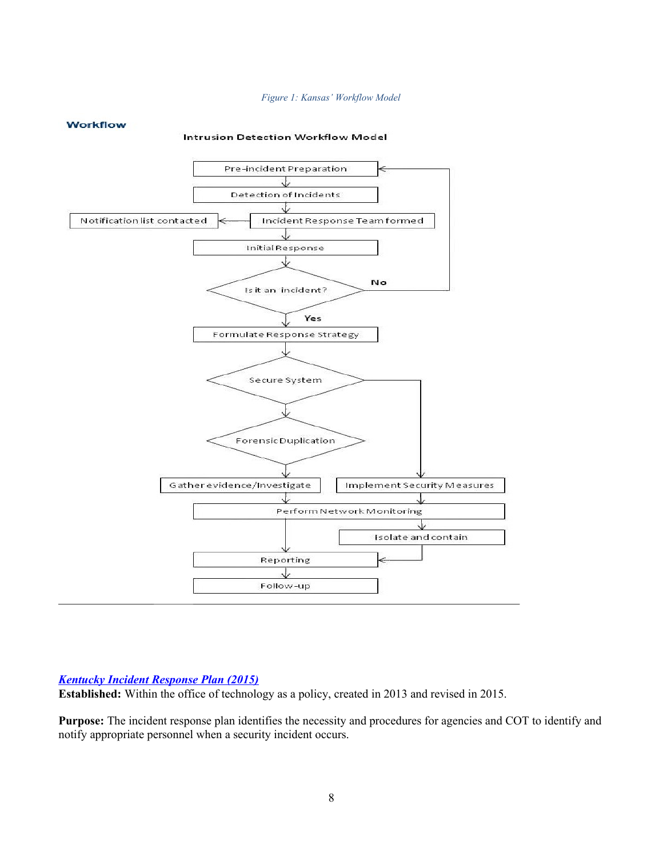#### *Figure 1: Kansas' Workflow Model*

#### **Workflow**

#### Intrusion Detection Workflow Model



#### *[Kentucky Incident Response Plan \(2015\)](http://technology.ky.gov/policy/Pages/CIO-090.aspx)*

**Established:** Within the office of technology as a policy, created in 2013 and revised in 2015.

**Purpose:** The incident response plan identifies the necessity and procedures for agencies and COT to identify and notify appropriate personnel when a security incident occurs.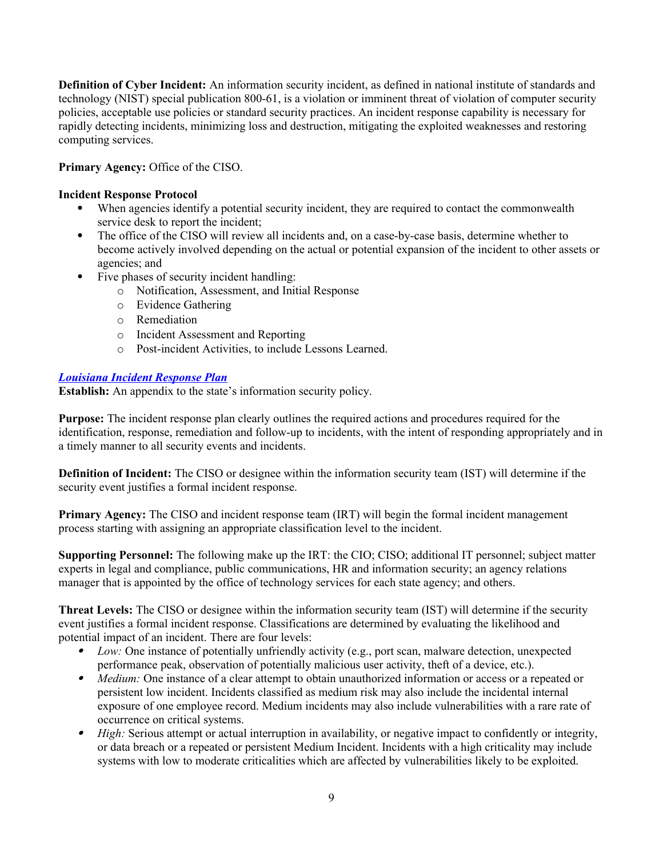**Definition of Cyber Incident:** An information security incident, as defined in national institute of standards and technology (NIST) special publication 800-61, is a violation or imminent threat of violation of computer security policies, acceptable use policies or standard security practices. An incident response capability is necessary for rapidly detecting incidents, minimizing loss and destruction, mitigating the exploited weaknesses and restoring computing services.

Primary Agency: Office of the CISO.

#### **Incident Response Protocol**

- When agencies identify a potential security incident, they are required to contact the commonwealth service desk to report the incident:
- The office of the CISO will review all incidents and, on a case-by-case basis, determine whether to become actively involved depending on the actual or potential expansion of the incident to other assets or agencies; and
- Five phases of security incident handling:
	- o Notification, Assessment, and Initial Response
	- o Evidence Gathering
	- o Remediation
	- o Incident Assessment and Reporting
	- o Post-incident Activities, to include Lessons Learned.

#### *[Louisiana Incident Response Plan](http://www.doa.la.gov/OTS/InformationSecurity/ISP-IncidentResponsePlan-v.1.0-Clean.pdf)*

**Establish:** An appendix to the state's information security policy.

**Purpose:** The incident response plan clearly outlines the required actions and procedures required for the identification, response, remediation and follow-up to incidents, with the intent of responding appropriately and in a timely manner to all security events and incidents.

**Definition of Incident:** The CISO or designee within the information security team (IST) will determine if the security event justifies a formal incident response.

**Primary Agency:** The CISO and incident response team (IRT) will begin the formal incident management process starting with assigning an appropriate classification level to the incident.

**Supporting Personnel:** The following make up the IRT: the CIO; CISO; additional IT personnel; subject matter experts in legal and compliance, public communications, HR and information security; an agency relations manager that is appointed by the office of technology services for each state agency; and others.

**Threat Levels:** The CISO or designee within the information security team (IST) will determine if the security event justifies a formal incident response. Classifications are determined by evaluating the likelihood and potential impact of an incident. There are four levels:

- . *Low:* One instance of potentially unfriendly activity (e.g., port scan, malware detection, unexpected performance peak, observation of potentially malicious user activity, theft of a device, etc.).
- *Medium:* One instance of a clear attempt to obtain unauthorized information or access or a repeated or persistent low incident. Incidents classified as medium risk may also include the incidental internal exposure of one employee record. Medium incidents may also include vulnerabilities with a rare rate of occurrence on critical systems.
- $\bullet$ *High: Serious attempt or actual interruption in availability, or negative impact to confidently or integrity,* or data breach or a repeated or persistent Medium Incident. Incidents with a high criticality may include systems with low to moderate criticalities which are affected by vulnerabilities likely to be exploited.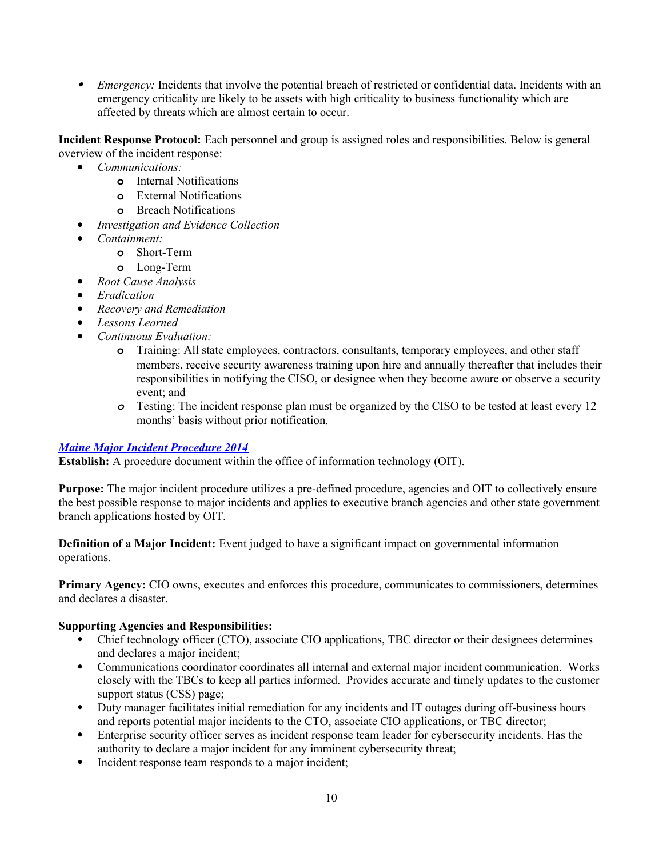*Emergency:* Incidents that involve the potential breach of restricted or confidential data. Incidents with an emergency criticality are likely to be assets with high criticality to business functionality which are affected by threats which are almost certain to occur.

**Incident Response Protocol:** Each personnel and group is assigned roles and responsibilities. Below is general overview of the incident response:

- *Communications:*
	- **o** Internal Notifications
	- **o** External Notifications
	- **o** Breach Notifications
- *Investigation and Evidence Collection*
- *Containment:*
	- **o** Short-Term
	- **o** Long-Term
	- *Root Cause Analysis*
- *Eradication*
- *Recovery and Remediation*
- *Lessons Learned*
- *Continuous Evaluation:*
	- **o** Training: All state employees, contractors, consultants, temporary employees, and other staff members, receive security awareness training upon hire and annually thereafter that includes their responsibilities in notifying the CISO, or designee when they become aware or observe a security event; and
	- *o* Testing: The incident response plan must be organized by the CISO to be tested at least every 12 months' basis without prior notification.

#### *[Maine Major Incident Procedure 2014](http://www.maine.gov/oit/policies/MajorIncidentProcedure.htm)*

**Establish:** A procedure document within the office of information technology (OIT).

**Purpose:** The major incident procedure utilizes a pre-defined procedure, agencies and OIT to collectively ensure the best possible response to major incidents and applies to executive branch agencies and other state government branch applications hosted by OIT.

**Definition of a Major Incident:** Event judged to have a significant impact on governmental information operations.

**Primary Agency:** CIO owns, executes and enforces this procedure, communicates to commissioners, determines and declares a disaster.

#### **Supporting Agencies and Responsibilities:**

- Chief technology officer (CTO), associate CIO applications, TBC director or their designees determines and declares a major incident;
- Communications coordinator coordinates all internal and external major incident communication. Works closely with the TBCs to keep all parties informed. Provides accurate and timely updates to the customer support status (CSS) page;
- Duty manager facilitates initial remediation for any incidents and IT outages during off-business hours and reports potential major incidents to the CTO, associate CIO applications, or TBC director;
- Enterprise security officer serves as incident response team leader for cybersecurity incidents. Has the authority to declare a major incident for any imminent cybersecurity threat;
- Incident response team responds to a major incident;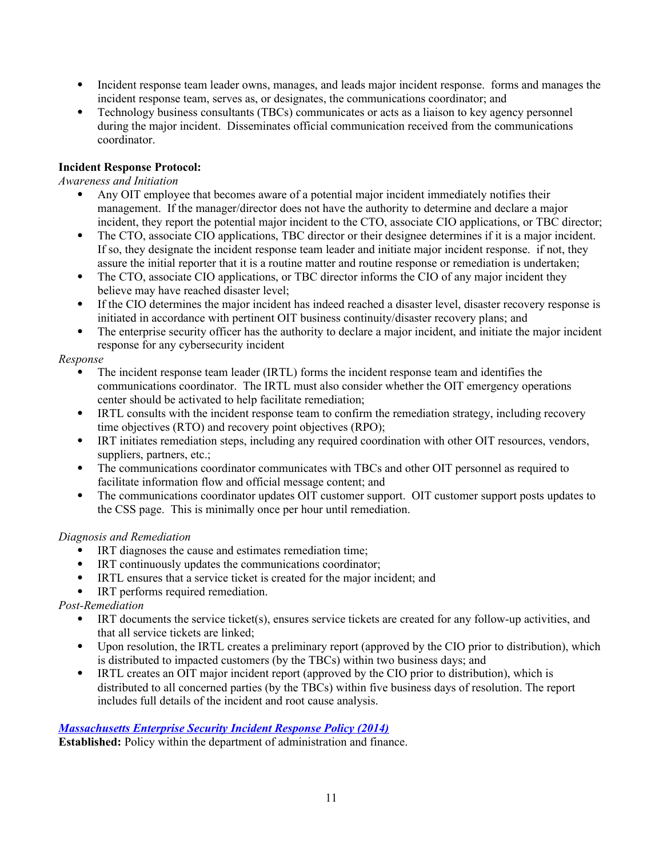- Incident response team leader owns, manages, and leads major incident response. forms and manages the incident response team, serves as, or designates, the communications coordinator; and
- Technology business consultants (TBCs) communicates or acts as a liaison to key agency personnel during the major incident. Disseminates official communication received from the communications coordinator.

# **Incident Response Protocol:**

#### *Awareness and Initiation*

- Any OIT employee that becomes aware of a potential major incident immediately notifies their management. If the manager/director does not have the authority to determine and declare a major incident, they report the potential major incident to the CTO, associate CIO applications, or TBC director;
- The CTO, associate CIO applications, TBC director or their designee determines if it is a major incident. If so, they designate the incident response team leader and initiate major incident response. if not, they assure the initial reporter that it is a routine matter and routine response or remediation is undertaken;
- The CTO, associate CIO applications, or TBC director informs the CIO of any major incident they believe may have reached disaster level;
- If the CIO determines the major incident has indeed reached a disaster level, disaster recovery response is initiated in accordance with pertinent OIT business continuity/disaster recovery plans; and
- The enterprise security officer has the authority to declare a major incident, and initiate the major incident response for any cybersecurity incident

#### *Response*

- The incident response team leader (IRTL) forms the incident response team and identifies the communications coordinator. The IRTL must also consider whether the OIT emergency operations center should be activated to help facilitate remediation;
- IRTL consults with the incident response team to confirm the remediation strategy, including recovery time objectives (RTO) and recovery point objectives (RPO);
- IRT initiates remediation steps, including any required coordination with other OIT resources, vendors, suppliers, partners, etc.;
- The communications coordinator communicates with TBCs and other OIT personnel as required to facilitate information flow and official message content; and
- The communications coordinator updates OIT customer support. OIT customer support posts updates to the CSS page. This is minimally once per hour until remediation.

#### *Diagnosis and Remediation*

- IRT diagnoses the cause and estimates remediation time;
- IRT continuously updates the communications coordinator;
- IRTL ensures that a service ticket is created for the major incident; and
- IRT performs required remediation.

# *Post-Remediation*

- IRT documents the service ticket(s), ensures service tickets are created for any follow-up activities, and that all service tickets are linked;
- Upon resolution, the IRTL creates a preliminary report (approved by the CIO prior to distribution), which is distributed to impacted customers (by the TBCs) within two business days; and
- IRTL creates an OIT major incident report (approved by the CIO prior to distribution), which is distributed to all concerned parties (by the TBCs) within five business days of resolution. The report includes full details of the incident and root cause analysis.

# *[Massachusetts Enterprise Security Incident Response Policy \(2014\)](http://www.mass.gov/anf/research-and-tech/cyber-security/security-for-state-employees/security-policies-and-standards/ent-it-sec-inc-resp-pol.html)*

**Established:** Policy within the department of administration and finance.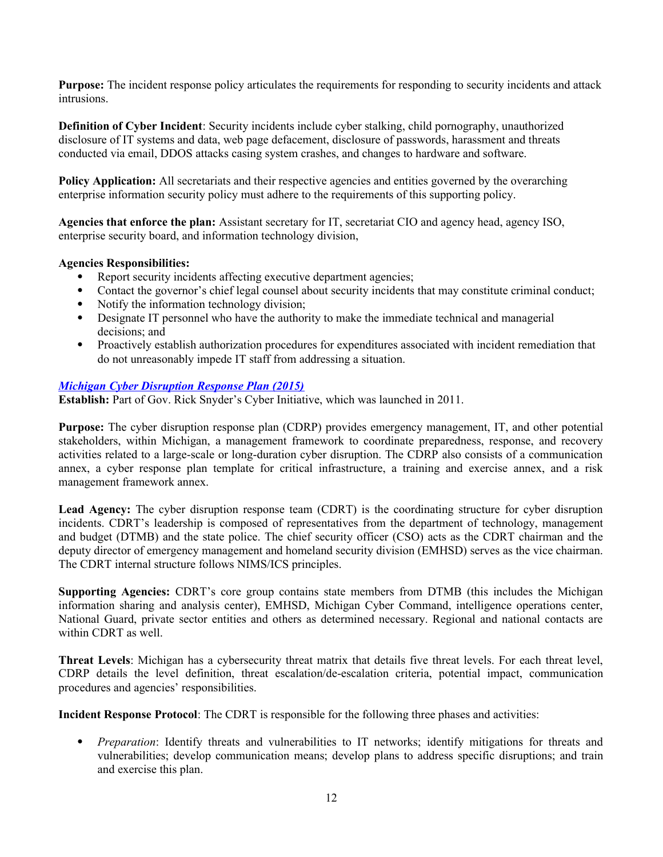**Purpose:** The incident response policy articulates the requirements for responding to security incidents and attack intrusions.

**Definition of Cyber Incident**: Security incidents include cyber stalking, child pornography, unauthorized disclosure of IT systems and data, web page defacement, disclosure of passwords, harassment and threats conducted via email, DDOS attacks casing system crashes, and changes to hardware and software.

**Policy Application:** All secretariats and their respective agencies and entities governed by the overarching enterprise information security policy must adhere to the requirements of this supporting policy.

**Agencies that enforce the plan:** Assistant secretary for IT, secretariat CIO and agency head, agency ISO, enterprise security board, and information technology division,

#### **Agencies Responsibilities:**

- Report security incidents affecting executive department agencies;
- Contact the governor's chief legal counsel about security incidents that may constitute criminal conduct;
- Notify the information technology division;
- Designate IT personnel who have the authority to make the immediate technical and managerial decisions; and
- Proactively establish authorization procedures for expenditures associated with incident remediation that do not unreasonably impede IT staff from addressing a situation.

### *[Michigan Cyber Disruption Response Plan \(2015\)](http://www.michigan.gov/documents/cybersecurity/120815_Michigan_Cyber_Disruption_Response_Plan_Online_VersionA_507848_7.pdf)*

**Establish:** Part of Gov. Rick Snyder's Cyber Initiative, which was launched in 2011.

**Purpose:** The cyber disruption response plan (CDRP) provides emergency management, IT, and other potential stakeholders, within Michigan, a management framework to coordinate preparedness, response, and recovery activities related to a large-scale or long-duration cyber disruption. The CDRP also consists of a communication annex, a cyber response plan template for critical infrastructure, a training and exercise annex, and a risk management framework annex.

**Lead Agency:** The cyber disruption response team (CDRT) is the coordinating structure for cyber disruption incidents. CDRT's leadership is composed of representatives from the department of technology, management and budget (DTMB) and the state police. The chief security officer (CSO) acts as the CDRT chairman and the deputy director of emergency management and homeland security division (EMHSD) serves as the vice chairman. The CDRT internal structure follows NIMS/ICS principles.

**Supporting Agencies:** CDRT's core group contains state members from DTMB (this includes the Michigan information sharing and analysis center), EMHSD, Michigan Cyber Command, intelligence operations center, National Guard, private sector entities and others as determined necessary. Regional and national contacts are within CDRT as well.

**Threat Levels**: Michigan has a cybersecurity threat matrix that details five threat levels. For each threat level, CDRP details the level definition, threat escalation/de-escalation criteria, potential impact, communication procedures and agencies' responsibilities.

**Incident Response Protocol**: The CDRT is responsible for the following three phases and activities:

 *Preparation*: Identify threats and vulnerabilities to IT networks; identify mitigations for threats and vulnerabilities; develop communication means; develop plans to address specific disruptions; and train and exercise this plan.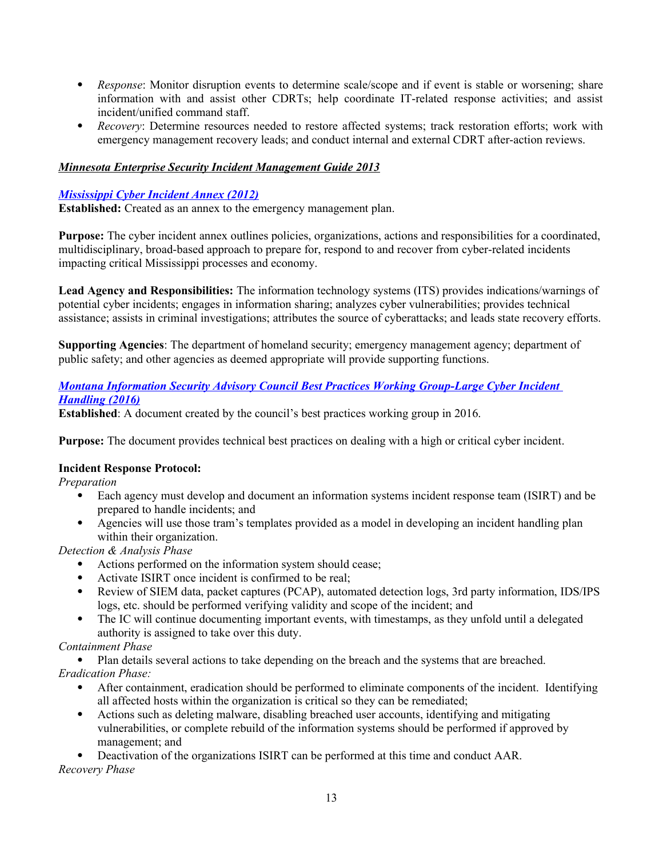- *Response*: Monitor disruption events to determine scale/scope and if event is stable or worsening; share information with and assist other CDRTs; help coordinate IT-related response activities; and assist incident/unified command staff.
- *Recovery*: Determine resources needed to restore affected systems; track restoration efforts; work with emergency management recovery leads; and conduct internal and external CDRT after-action reviews.

# *Minnesota Enterprise Security Incident Management Guide 2013*

#### *[Mississippi Cyber Incident Annex \(2012\)](http://www.msema.org/wp-content/uploads/2012/07/CyberIncidentAnnex.pdf)*

**Established:** Created as an annex to the emergency management plan.

Purpose: The cyber incident annex outlines policies, organizations, actions and responsibilities for a coordinated, multidisciplinary, broad-based approach to prepare for, respond to and recover from cyber-related incidents impacting critical Mississippi processes and economy.

**Lead Agency and Responsibilities:** The information technology systems (ITS) provides indications/warnings of potential cyber incidents; engages in information sharing; analyzes cyber vulnerabilities; provides technical assistance; assists in criminal investigations; attributes the source of cyberattacks; and leads state recovery efforts.

**Supporting Agencies**: The department of homeland security; emergency management agency; department of public safety; and other agencies as deemed appropriate will provide supporting functions.

# *[Montana Information Security Advisory Council Best Practices Working Group-Large Cyber Incident](http://sitsd.mt.gov/Portals/77/docs/MT-ISAC/2016/2016%2006%2016/03%20Large%20Cyber%20Incident%20Handling.pdf?ver=2016-06-08-163200-553)  [Handling \(2016\)](http://sitsd.mt.gov/Portals/77/docs/MT-ISAC/2016/2016%2006%2016/03%20Large%20Cyber%20Incident%20Handling.pdf?ver=2016-06-08-163200-553)*

**Established**: A document created by the council's best practices working group in 2016.

**Purpose:** The document provides technical best practices on dealing with a high or critical cyber incident.

# **Incident Response Protocol:**

*Preparation*

- Each agency must develop and document an information systems incident response team (ISIRT) and be prepared to handle incidents; and
- Agencies will use those tram's templates provided as a model in developing an incident handling plan within their organization.

*Detection & Analysis Phase*

- Actions performed on the information system should cease;
- Activate ISIRT once incident is confirmed to be real;
- Review of SIEM data, packet captures (PCAP), automated detection logs, 3rd party information, IDS/IPS logs, etc. should be performed verifying validity and scope of the incident; and
- The IC will continue documenting important events, with timestamps, as they unfold until a delegated authority is assigned to take over this duty.

# *Containment Phase*

Plan details several actions to take depending on the breach and the systems that are breached.

*Eradication Phase:*

- After containment, eradication should be performed to eliminate components of the incident. Identifying all affected hosts within the organization is critical so they can be remediated;
- Actions such as deleting malware, disabling breached user accounts, identifying and mitigating vulnerabilities, or complete rebuild of the information systems should be performed if approved by management; and

 Deactivation of the organizations ISIRT can be performed at this time and conduct AAR. *Recovery Phase*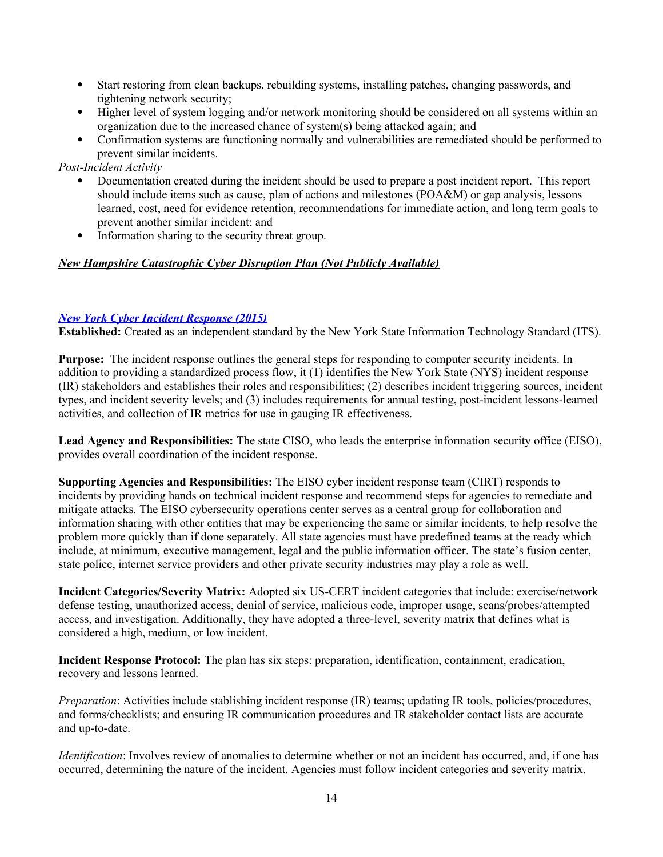- Start restoring from clean backups, rebuilding systems, installing patches, changing passwords, and tightening network security;
- Higher level of system logging and/or network monitoring should be considered on all systems within an organization due to the increased chance of system(s) being attacked again; and
- Confirmation systems are functioning normally and vulnerabilities are remediated should be performed to prevent similar incidents.

*Post-Incident Activity*

- Documentation created during the incident should be used to prepare a post incident report. This report should include items such as cause, plan of actions and milestones (POA&M) or gap analysis, lessons learned, cost, need for evidence retention, recommendations for immediate action, and long term goals to prevent another similar incident; and
- Information sharing to the security threat group.

### *New Hampshire Catastrophic Cyber Disruption Plan (Not Publicly Available)*

### *[New York Cyber Incident Response \(2015\)](https://www.its.ny.gov/document/cyber-incident-response-standard)*

**Established:** Created as an independent standard by the New York State Information Technology Standard (ITS).

**Purpose:** The incident response outlines the general steps for responding to computer security incidents. In addition to providing a standardized process flow, it (1) identifies the New York State (NYS) incident response (IR) stakeholders and establishes their roles and responsibilities; (2) describes incident triggering sources, incident types, and incident severity levels; and (3) includes requirements for annual testing, post-incident lessons-learned activities, and collection of IR metrics for use in gauging IR effectiveness.

**Lead Agency and Responsibilities:** The state CISO, who leads the enterprise information security office (EISO), provides overall coordination of the incident response.

**Supporting Agencies and Responsibilities:** The EISO cyber incident response team (CIRT) responds to incidents by providing hands on technical incident response and recommend steps for agencies to remediate and mitigate attacks. The EISO cybersecurity operations center serves as a central group for collaboration and information sharing with other entities that may be experiencing the same or similar incidents, to help resolve the problem more quickly than if done separately. All state agencies must have predefined teams at the ready which include, at minimum, executive management, legal and the public information officer. The state's fusion center, state police, internet service providers and other private security industries may play a role as well.

**Incident Categories/Severity Matrix:** Adopted six US-CERT incident categories that include: exercise/network defense testing, unauthorized access, denial of service, malicious code, improper usage, scans/probes/attempted access, and investigation. Additionally, they have adopted a three-level, severity matrix that defines what is considered a high, medium, or low incident.

**Incident Response Protocol:** The plan has six steps: preparation, identification, containment, eradication, recovery and lessons learned.

*Preparation*: Activities include stablishing incident response (IR) teams; updating IR tools, policies/procedures, and forms/checklists; and ensuring IR communication procedures and IR stakeholder contact lists are accurate and up-to-date.

*Identification*: Involves review of anomalies to determine whether or not an incident has occurred, and, if one has occurred, determining the nature of the incident. Agencies must follow incident categories and severity matrix.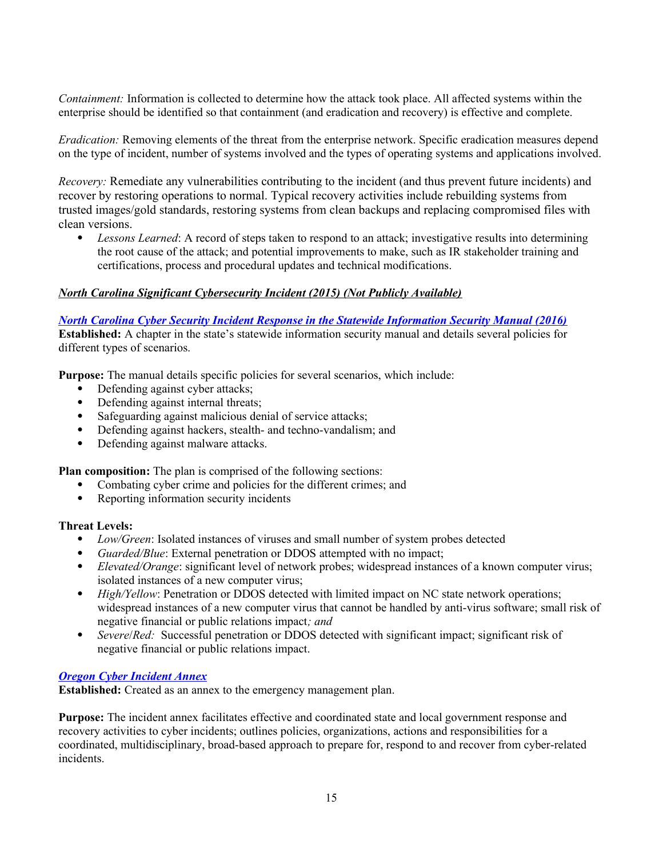*Containment:* Information is collected to determine how the attack took place. All affected systems within the enterprise should be identified so that containment (and eradication and recovery) is effective and complete.

*Eradication:* Removing elements of the threat from the enterprise network. Specific eradication measures depend on the type of incident, number of systems involved and the types of operating systems and applications involved.

*Recovery:* Remediate any vulnerabilities contributing to the incident (and thus prevent future incidents) and recover by restoring operations to normal. Typical recovery activities include rebuilding systems from trusted images/gold standards, restoring systems from clean backups and replacing compromised files with clean versions.

 *Lessons Learned*: A record of steps taken to respond to an attack; investigative results into determining the root cause of the attack; and potential improvements to make, such as IR stakeholder training and certifications, process and procedural updates and technical modifications.

### *North Carolina Significant Cybersecurity Incident (2015) (Not Publicly Available)*

*[North Carolina Cyber Security Incident Response in the Statewide Information Security Manual \(2016\)](https://ncit.s3.amazonaws.com/s3fs-public/documents/files/SISM-2-2016.pdf)* **Established:** A chapter in the state's statewide information security manual and details several policies for different types of scenarios.

**Purpose:** The manual details specific policies for several scenarios, which include:

- Defending against cyber attacks;
- Defending against internal threats;
- Safeguarding against malicious denial of service attacks;
- Defending against hackers, stealth- and techno-vandalism; and
- Defending against malware attacks.

**Plan composition:** The plan is comprised of the following sections:

- Combating cyber crime and policies for the different crimes; and
- Reporting information security incidents

#### **Threat Levels:**

- *Low/Green*: Isolated instances of viruses and small number of system probes detected
- *Guarded/Blue*: External penetration or DDOS attempted with no impact;
- *Elevated/Orange*: significant level of network probes; widespread instances of a known computer virus; isolated instances of a new computer virus;
- *High/Yellow:* Penetration or DDOS detected with limited impact on NC state network operations; widespread instances of a new computer virus that cannot be handled by anti-virus software; small risk of negative financial or public relations impact*; and*
- *Severe*/*Red:* Successful penetration or DDOS detected with significant impact; significant risk of negative financial or public relations impact.

#### *[Oregon Cyber Incident Annex](http://www.oregon.gov/OMD/OEM/plans_train/docs/eop/eop_ia_10_cyber.pdf)*

**Established:** Created as an annex to the emergency management plan.

**Purpose:** The incident annex facilitates effective and coordinated state and local government response and recovery activities to cyber incidents; outlines policies, organizations, actions and responsibilities for a coordinated, multidisciplinary, broad-based approach to prepare for, respond to and recover from cyber-related incidents.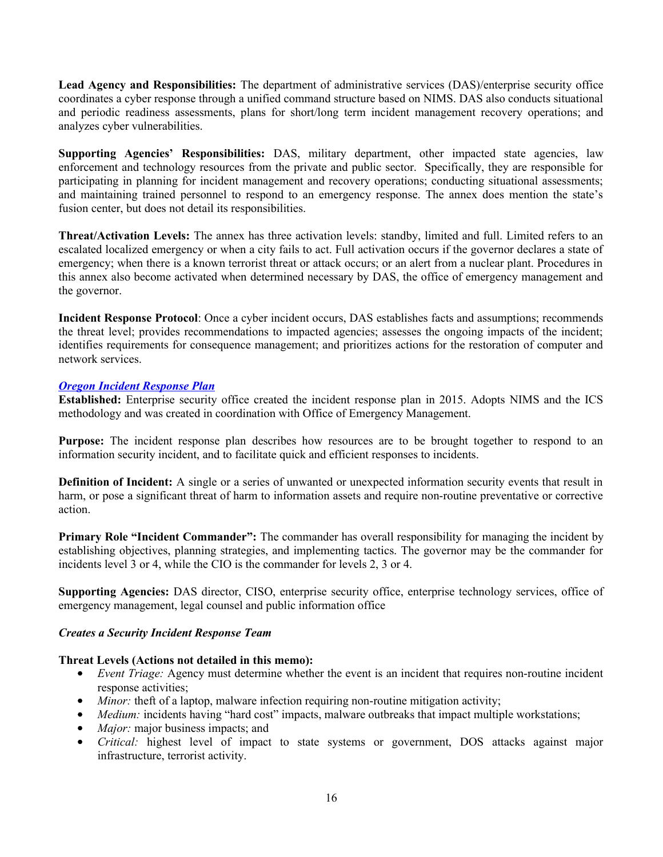**Lead Agency and Responsibilities:** The department of administrative services (DAS)/enterprise security office coordinates a cyber response through a unified command structure based on NIMS. DAS also conducts situational and periodic readiness assessments, plans for short/long term incident management recovery operations; and analyzes cyber vulnerabilities.

**Supporting Agencies' Responsibilities:** DAS, military department, other impacted state agencies, law enforcement and technology resources from the private and public sector. Specifically, they are responsible for participating in planning for incident management and recovery operations; conducting situational assessments; and maintaining trained personnel to respond to an emergency response. The annex does mention the state's fusion center, but does not detail its responsibilities.

**Threat/Activation Levels:** The annex has three activation levels: standby, limited and full. Limited refers to an escalated localized emergency or when a city fails to act. Full activation occurs if the governor declares a state of emergency; when there is a known terrorist threat or attack occurs; or an alert from a nuclear plant. Procedures in this annex also become activated when determined necessary by DAS, the office of emergency management and the governor.

**Incident Response Protocol**: Once a cyber incident occurs, DAS establishes facts and assumptions; recommends the threat level; provides recommendations to impacted agencies; assesses the ongoing impacts of the incident; identifies requirements for consequence management; and prioritizes actions for the restoration of computer and network services.

#### *[Oregon Incident Response Plan](http://www.oregon.gov/das/OSCIO/Documents/InformationSecurityIncidentResponsePlan.pdf)*

**Established:** Enterprise security office created the incident response plan in 2015. Adopts NIMS and the ICS methodology and was created in coordination with Office of Emergency Management.

Purpose: The incident response plan describes how resources are to be brought together to respond to an information security incident, and to facilitate quick and efficient responses to incidents.

**Definition of Incident:** A single or a series of unwanted or unexpected information security events that result in harm, or pose a significant threat of harm to information assets and require non-routine preventative or corrective action.

**Primary Role "Incident Commander":** The commander has overall responsibility for managing the incident by establishing objectives, planning strategies, and implementing tactics. The governor may be the commander for incidents level 3 or 4, while the CIO is the commander for levels 2, 3 or 4.

**Supporting Agencies:** DAS director, CISO, enterprise security office, enterprise technology services, office of emergency management, legal counsel and public information office

#### *Creates a Security Incident Response Team*

#### **Threat Levels (Actions not detailed in this memo):**

- *Event Triage:* Agency must determine whether the event is an incident that requires non-routine incident response activities;
- *Minor*: theft of a laptop, malware infection requiring non-routine mitigation activity;
- *Medium:* incidents having "hard cost" impacts, malware outbreaks that impact multiple workstations;
- *Major:* major business impacts; and
- *Critical:* highest level of impact to state systems or government, DOS attacks against major infrastructure, terrorist activity.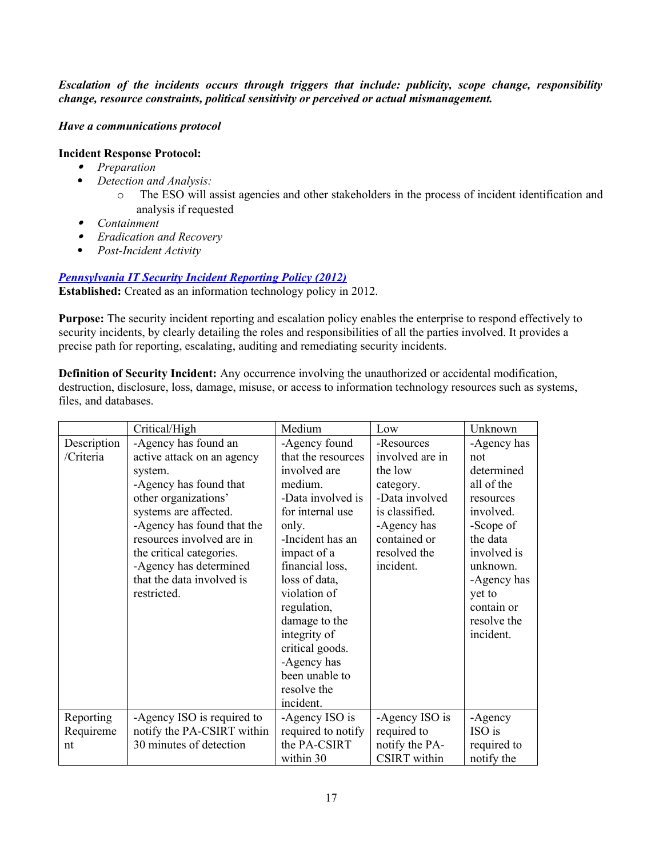*Escalation of the incidents occurs through triggers that include: publicity, scope change, responsibility change, resource constraints, political sensitivity or perceived or actual mismanagement.* 

### *Have a communications protocol*

#### **Incident Response Protocol:**

- *Preparation*
- *Detection and Analysis:*
	- o The ESO will assist agencies and other stakeholders in the process of incident identification and analysis if requested
- *Containment*
- *Eradication and Recovery*
- *Post-Incident Activity*

# *[Pennsylvania IT Security Incident Reporting Policy \(2012\)](http://www.oa.pa.gov/Policies/Documents/itp_sec024.pdf)*

**Established:** Created as an information technology policy in 2012.

**Purpose:** The security incident reporting and escalation policy enables the enterprise to respond effectively to security incidents, by clearly detailing the roles and responsibilities of all the parties involved. It provides a precise path for reporting, escalating, auditing and remediating security incidents.

**Definition of Security Incident:** Any occurrence involving the unauthorized or accidental modification, destruction, disclosure, loss, damage, misuse, or access to information technology resources such as systems, files, and databases.

|             | Critical/High              | Medium             | Low                 | Unknown     |
|-------------|----------------------------|--------------------|---------------------|-------------|
| Description | -Agency has found an       | -Agency found      | -Resources          | -Agency has |
| /Criteria   | active attack on an agency | that the resources | involved are in     | not         |
|             | system.                    | involved are       | the low             | determined  |
|             | -Agency has found that     | medium.            | category.           | all of the  |
|             | other organizations'       | -Data involved is  | -Data involved      | resources   |
|             | systems are affected.      | for internal use   | is classified.      | involved.   |
|             | -Agency has found that the | only.              | -Agency has         | -Scope of   |
|             | resources involved are in  | -Incident has an   | contained or        | the data    |
|             | the critical categories.   | impact of a        | resolved the        | involved is |
|             | -Agency has determined     | financial loss,    | incident.           | unknown.    |
|             | that the data involved is  | loss of data,      |                     | -Agency has |
|             | restricted.                | violation of       |                     | yet to      |
|             |                            | regulation,        |                     | contain or  |
|             |                            | damage to the      |                     | resolve the |
|             |                            | integrity of       |                     | incident.   |
|             |                            | critical goods.    |                     |             |
|             |                            | -Agency has        |                     |             |
|             |                            | been unable to     |                     |             |
|             |                            | resolve the        |                     |             |
|             |                            | incident.          |                     |             |
| Reporting   | -Agency ISO is required to | -Agency ISO is     | -Agency ISO is      | -Agency     |
| Requireme   | notify the PA-CSIRT within | required to notify | required to         | ISO is      |
| nt          | 30 minutes of detection    | the PA-CSIRT       | notify the PA-      | required to |
|             |                            | within 30          | <b>CSIRT</b> within | notify the  |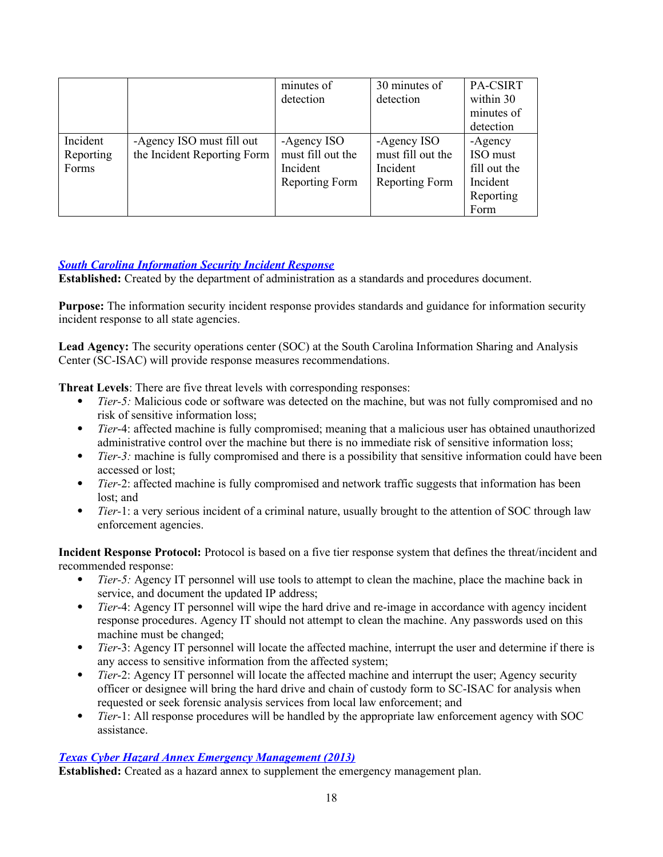|           |                             | minutes of<br>detection | 30 minutes of<br>detection | PA-CSIRT<br>within 30 |
|-----------|-----------------------------|-------------------------|----------------------------|-----------------------|
|           |                             |                         |                            | minutes of            |
|           |                             |                         |                            | detection             |
| Incident  | -Agency ISO must fill out   | -Agency ISO             | -Agency ISO                | -Agency               |
| Reporting | the Incident Reporting Form | must fill out the       | must fill out the          | ISO must              |
| Forms     |                             | Incident                | Incident                   | fill out the          |
|           |                             | Reporting Form          | Reporting Form             | Incident              |
|           |                             |                         |                            | Reporting             |
|           |                             |                         |                            | Form                  |

# *[South Carolina Information Security Incident Response](http://www.admin.sc.gov/technology/information-security/incident-response)*

**Established:** Created by the department of administration as a standards and procedures document.

**Purpose:** The information security incident response provides standards and guidance for information security incident response to all state agencies.

**Lead Agency:** The security operations center (SOC) at the South Carolina Information Sharing and Analysis Center (SC-ISAC) will provide response measures recommendations.

**Threat Levels**: There are five threat levels with corresponding responses:

- *Tier-5:* Malicious code or software was detected on the machine, but was not fully compromised and no risk of sensitive information loss;
- *Tier*-4: affected machine is fully compromised; meaning that a malicious user has obtained unauthorized administrative control over the machine but there is no immediate risk of sensitive information loss;
- *Tier-3:* machine is fully compromised and there is a possibility that sensitive information could have been accessed or lost;
- *Tier-*2: affected machine is fully compromised and network traffic suggests that information has been lost; and
- *Tier-*1: a very serious incident of a criminal nature, usually brought to the attention of SOC through law enforcement agencies.

**Incident Response Protocol:** Protocol is based on a five tier response system that defines the threat/incident and recommended response:

- *Tier-5:* Agency IT personnel will use tools to attempt to clean the machine, place the machine back in service, and document the updated IP address;
- *Tier*-4: Agency IT personnel will wipe the hard drive and re-image in accordance with agency incident response procedures. Agency IT should not attempt to clean the machine. Any passwords used on this machine must be changed;
- *Tier*-3: Agency IT personnel will locate the affected machine, interrupt the user and determine if there is any access to sensitive information from the affected system;
- *Tier*-2: Agency IT personnel will locate the affected machine and interrupt the user; Agency security officer or designee will bring the hard drive and chain of custody form to SC-ISAC for analysis when requested or seek forensic analysis services from local law enforcement; and
- *Tier*-1: All response procedures will be handled by the appropriate law enforcement agency with SOC assistance.

#### *[Texas Cyber Hazard Annex Emergency Management \(2013\)](https://www.txdps.state.tx.us/dem/documents/planState/annexCyberHazard.pdf)*

**Established:** Created as a hazard annex to supplement the emergency management plan.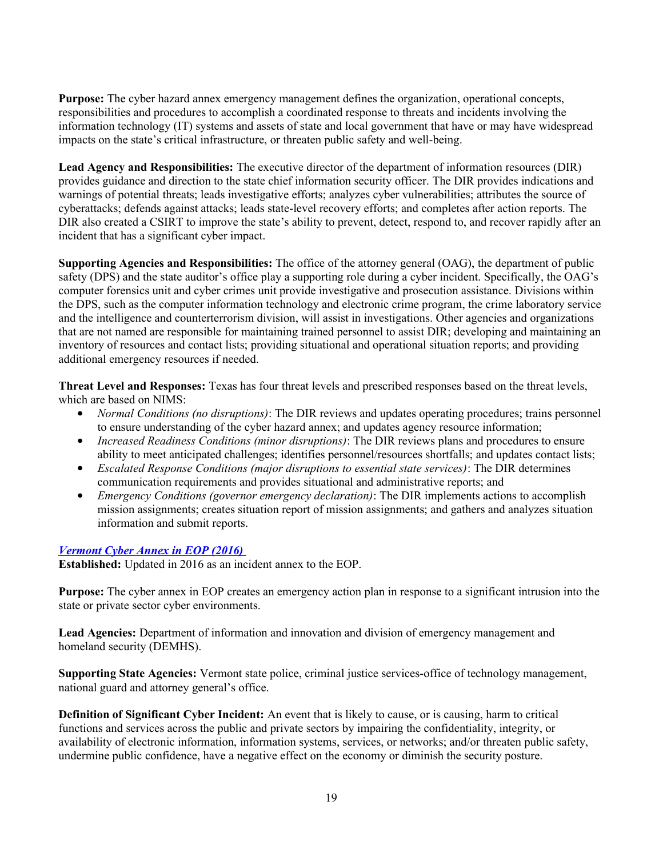**Purpose:** The cyber hazard annex emergency management defines the organization, operational concepts, responsibilities and procedures to accomplish a coordinated response to threats and incidents involving the information technology (IT) systems and assets of state and local government that have or may have widespread impacts on the state's critical infrastructure, or threaten public safety and well-being.

**Lead Agency and Responsibilities:** The executive director of the department of information resources (DIR) provides guidance and direction to the state chief information security officer. The DIR provides indications and warnings of potential threats; leads investigative efforts; analyzes cyber vulnerabilities; attributes the source of cyberattacks; defends against attacks; leads state-level recovery efforts; and completes after action reports. The DIR also created a CSIRT to improve the state's ability to prevent, detect, respond to, and recover rapidly after an incident that has a significant cyber impact.

**Supporting Agencies and Responsibilities:** The office of the attorney general (OAG), the department of public safety (DPS) and the state auditor's office play a supporting role during a cyber incident. Specifically, the OAG's computer forensics unit and cyber crimes unit provide investigative and prosecution assistance. Divisions within the DPS, such as the computer information technology and electronic crime program, the crime laboratory service and the intelligence and counterterrorism division, will assist in investigations. Other agencies and organizations that are not named are responsible for maintaining trained personnel to assist DIR; developing and maintaining an inventory of resources and contact lists; providing situational and operational situation reports; and providing additional emergency resources if needed.

**Threat Level and Responses:** Texas has four threat levels and prescribed responses based on the threat levels, which are based on NIMS:

- *Normal Conditions (no disruptions)*: The DIR reviews and updates operating procedures; trains personnel to ensure understanding of the cyber hazard annex; and updates agency resource information;
- *Increased Readiness Conditions (minor disruptions)*: The DIR reviews plans and procedures to ensure ability to meet anticipated challenges; identifies personnel/resources shortfalls; and updates contact lists;
- *Escalated Response Conditions (major disruptions to essential state services)*: The DIR determines communication requirements and provides situational and administrative reports; and
- *Emergency Conditions (governor emergency declaration)*: The DIR implements actions to accomplish mission assignments; creates situation report of mission assignments; and gathers and analyzes situation information and submit reports.

# *[Vermont Cyber Annex in EOP \(2016\)](http://demhs.vermont.gov/sites/demhs/files/pdfs/plans/state/Incident-Annex-5_Cyber-Incident.pdf)*

**Established:** Updated in 2016 as an incident annex to the EOP.

**Purpose:** The cyber annex in EOP creates an emergency action plan in response to a significant intrusion into the state or private sector cyber environments.

**Lead Agencies:** Department of information and innovation and division of emergency management and homeland security (DEMHS).

**Supporting State Agencies:** Vermont state police, criminal justice services-office of technology management, national guard and attorney general's office.

**Definition of Significant Cyber Incident:** An event that is likely to cause, or is causing, harm to critical functions and services across the public and private sectors by impairing the confidentiality, integrity, or availability of electronic information, information systems, services, or networks; and/or threaten public safety, undermine public confidence, have a negative effect on the economy or diminish the security posture.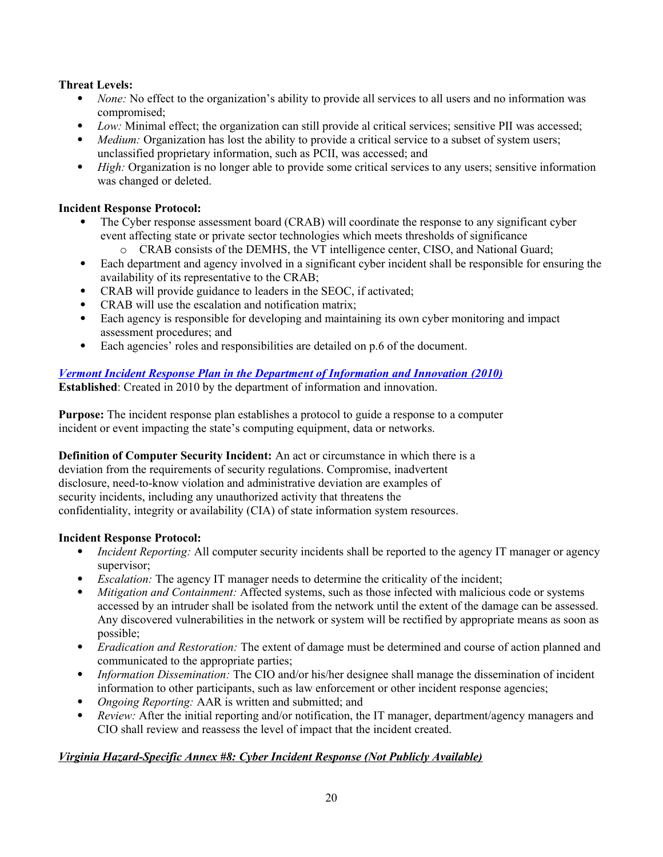# **Threat Levels:**

- *None:* No effect to the organization's ability to provide all services to all users and no information was compromised;
- *Low:* Minimal effect; the organization can still provide al critical services; sensitive PII was accessed;
- *Medium:* Organization has lost the ability to provide a critical service to a subset of system users; unclassified proprietary information, such as PCII, was accessed; and
- *High:* Organization is no longer able to provide some critical services to any users; sensitive information was changed or deleted.

# **Incident Response Protocol:**

- The Cyber response assessment board (CRAB) will coordinate the response to any significant cyber event affecting state or private sector technologies which meets thresholds of significance
	- o CRAB consists of the DEMHS, the VT intelligence center, CISO, and National Guard;
- Each department and agency involved in a significant cyber incident shall be responsible for ensuring the availability of its representative to the CRAB;
- CRAB will provide guidance to leaders in the SEOC, if activated;
- CRAB will use the escalation and notification matrix:
- Each agency is responsible for developing and maintaining its own cyber monitoring and impact assessment procedures; and
- Each agencies' roles and responsibilities are detailed on p.6 of the document.

# *[Vermont Incident Response Plan in the Department of Information and Innovation](http://dii.vermont.gov/sites/dii/files/pdfs/Incident-Response-Policy.pdf) (2010)* **Established**: Created in 2010 by the department of information and innovation.

**Purpose:** The incident response plan establishes a protocol to guide a response to a computer incident or event impacting the state's computing equipment, data or networks.

**Definition of Computer Security Incident:** An act or circumstance in which there is a deviation from the requirements of security regulations. Compromise, inadvertent disclosure, need-to-know violation and administrative deviation are examples of security incidents, including any unauthorized activity that threatens the confidentiality, integrity or availability (CIA) of state information system resources.

# **Incident Response Protocol:**

- *Incident Reporting:* All computer security incidents shall be reported to the agency IT manager or agency supervisor;
- *Escalation:* The agency IT manager needs to determine the criticality of the incident;
- *Mitigation and Containment:* Affected systems, such as those infected with malicious code or systems accessed by an intruder shall be isolated from the network until the extent of the damage can be assessed. Any discovered vulnerabilities in the network or system will be rectified by appropriate means as soon as possible;
- *Eradication and Restoration:* The extent of damage must be determined and course of action planned and communicated to the appropriate parties;
- *Information Dissemination:* The CIO and/or his/her designee shall manage the dissemination of incident information to other participants, such as law enforcement or other incident response agencies;
- *Ongoing Reporting:* AAR is written and submitted; and
- *Review:* After the initial reporting and/or notification, the IT manager, department/agency managers and CIO shall review and reassess the level of impact that the incident created.

# *Virginia Hazard-Specific Annex #8: Cyber Incident Response (Not Publicly Available)*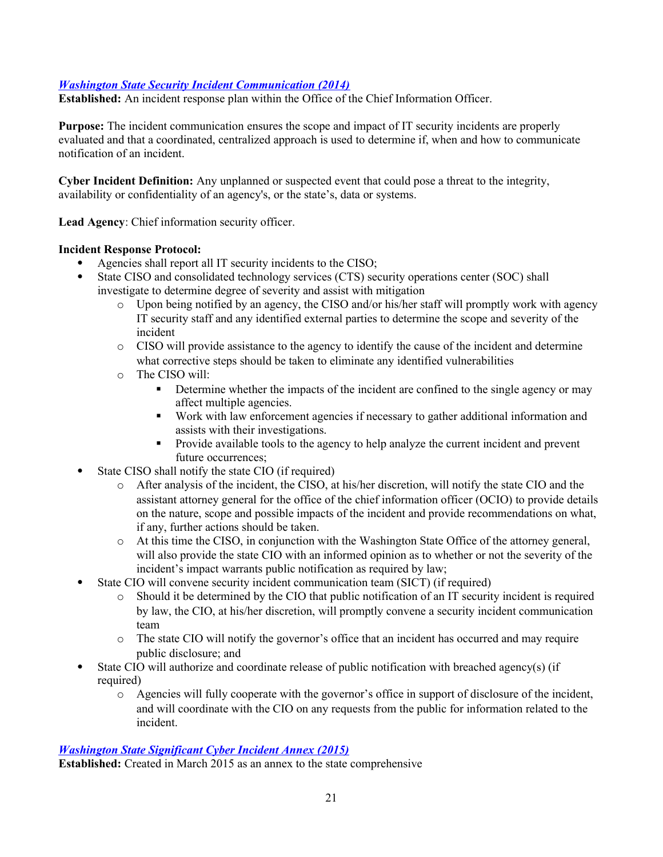# *[Washington State Security Incident Communication \(2014\)](https://ocio.wa.gov/policies/143-it-security-incident-communication)*

**Established:** An incident response plan within the Office of the Chief Information Officer.

**Purpose:** The incident communication ensures the scope and impact of IT security incidents are properly evaluated and that a coordinated, centralized approach is used to determine if, when and how to communicate notification of an incident.

**Cyber Incident Definition:** Any unplanned or suspected event that could pose a threat to the integrity, availability or confidentiality of an agency's, or the state's, data or systems.

**Lead Agency**: Chief information security officer.

### **Incident Response Protocol:**

- Agencies shall report all IT security incidents to the CISO;
- State CISO and consolidated technology services (CTS) security operations center (SOC) shall investigate to determine degree of severity and assist with mitigation
	- o Upon being notified by an agency, the CISO and/or his/her staff will promptly work with agency IT security staff and any identified external parties to determine the scope and severity of the incident
	- o CISO will provide assistance to the agency to identify the cause of the incident and determine what corrective steps should be taken to eliminate any identified vulnerabilities
	- o The CISO will:
		- Determine whether the impacts of the incident are confined to the single agency or may affect multiple agencies.
		- Work with law enforcement agencies if necessary to gather additional information and assists with their investigations.
		- Provide available tools to the agency to help analyze the current incident and prevent future occurrences;
- State CISO shall notify the state CIO (if required)
	- o After analysis of the incident, the CISO, at his/her discretion, will notify the state CIO and the assistant attorney general for the office of the chief information officer (OCIO) to provide details on the nature, scope and possible impacts of the incident and provide recommendations on what, if any, further actions should be taken.
	- o At this time the CISO, in conjunction with the Washington State Office of the attorney general, will also provide the state CIO with an informed opinion as to whether or not the severity of the incident's impact warrants public notification as required by law;
- State CIO will convene security incident communication team (SICT) (if required)
	- o Should it be determined by the CIO that public notification of an IT security incident is required by law, the CIO, at his/her discretion, will promptly convene a security incident communication team
	- o The state CIO will notify the governor's office that an incident has occurred and may require public disclosure; and
- State CIO will authorize and coordinate release of public notification with breached agency(s) (if required)
	- o Agencies will fully cooperate with the governor's office in support of disclosure of the incident, and will coordinate with the CIO on any requests from the public for information related to the incident.

#### *[Washington State Significant Cyber Incident Annex](http://mil.wa.gov/uploads/pdf/PLANS/wastatesignificantcyberincidentannex20150324.pdf) (2015)*

**Established:** Created in March 2015 as an annex to the state comprehensive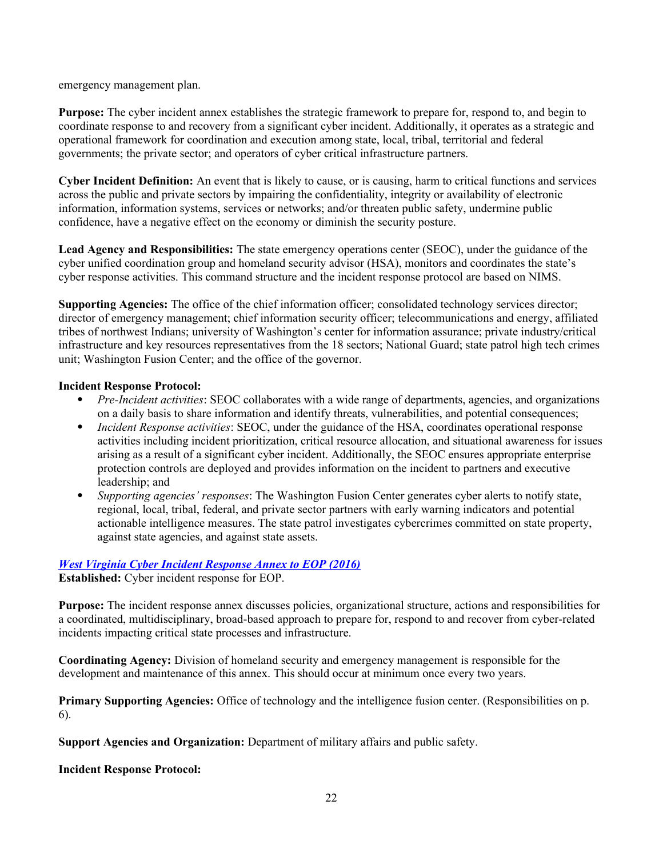emergency management plan.

**Purpose:** The cyber incident annex establishes the strategic framework to prepare for, respond to, and begin to coordinate response to and recovery from a significant cyber incident. Additionally, it operates as a strategic and operational framework for coordination and execution among state, local, tribal, territorial and federal governments; the private sector; and operators of cyber critical infrastructure partners.

**Cyber Incident Definition:** An event that is likely to cause, or is causing, harm to critical functions and services across the public and private sectors by impairing the confidentiality, integrity or availability of electronic information, information systems, services or networks; and/or threaten public safety, undermine public confidence, have a negative effect on the economy or diminish the security posture.

**Lead Agency and Responsibilities:** The state emergency operations center (SEOC), under the guidance of the cyber unified coordination group and homeland security advisor (HSA), monitors and coordinates the state's cyber response activities. This command structure and the incident response protocol are based on NIMS.

**Supporting Agencies:** The office of the chief information officer; consolidated technology services director; director of emergency management; chief information security officer; telecommunications and energy, affiliated tribes of northwest Indians; university of Washington's center for information assurance; private industry/critical infrastructure and key resources representatives from the 18 sectors; National Guard; state patrol high tech crimes unit; Washington Fusion Center; and the office of the governor.

#### **Incident Response Protocol:**

- *Pre-Incident activities*: SEOC collaborates with a wide range of departments, agencies, and organizations on a daily basis to share information and identify threats, vulnerabilities, and potential consequences;
- *Incident Response activities*: SEOC, under the guidance of the HSA, coordinates operational response activities including incident prioritization, critical resource allocation, and situational awareness for issues arising as a result of a significant cyber incident. Additionally, the SEOC ensures appropriate enterprise protection controls are deployed and provides information on the incident to partners and executive leadership; and
- *Supporting agencies' responses*: The Washington Fusion Center generates cyber alerts to notify state, regional, local, tribal, federal, and private sector partners with early warning indicators and potential actionable intelligence measures. The state patrol investigates cybercrimes committed on state property, against state agencies, and against state assets.

# *[West Virginia Cyber Incident Response Annex to EOP \(2016\)](http://www.dhsem.wv.gov/Resources/Documents/WV%20EOP%202016/IS%2003%20-%20Cyber%20FINAL%201-6-16.pdf)*

**Established:** Cyber incident response for EOP.

**Purpose:** The incident response annex discusses policies, organizational structure, actions and responsibilities for a coordinated, multidisciplinary, broad-based approach to prepare for, respond to and recover from cyber-related incidents impacting critical state processes and infrastructure.

**Coordinating Agency:** Division of homeland security and emergency management is responsible for the development and maintenance of this annex. This should occur at minimum once every two years.

**Primary Supporting Agencies:** Office of technology and the intelligence fusion center. (Responsibilities on p. 6).

**Support Agencies and Organization:** Department of military affairs and public safety.

**Incident Response Protocol:**